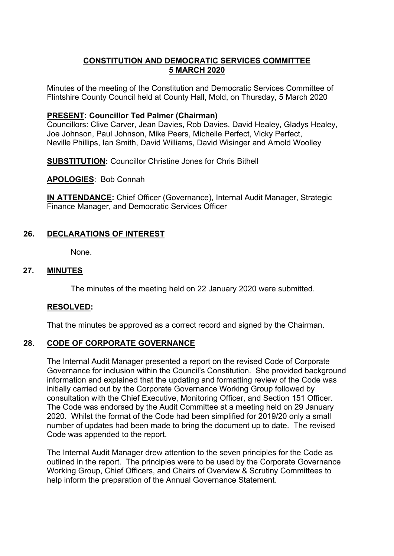## **CONSTITUTION AND DEMOCRATIC SERVICES COMMITTEE 5 MARCH 2020**

Minutes of the meeting of the Constitution and Democratic Services Committee of Flintshire County Council held at County Hall, Mold, on Thursday, 5 March 2020

#### **PRESENT: Councillor Ted Palmer (Chairman)**

Councillors: Clive Carver, Jean Davies, Rob Davies, David Healey, Gladys Healey, Joe Johnson, Paul Johnson, Mike Peers, Michelle Perfect, Vicky Perfect, Neville Phillips, Ian Smith, David Williams, David Wisinger and Arnold Woolley

**SUBSTITUTION:** Councillor Christine Jones for Chris Bithell

**APOLOGIES**: Bob Connah

**IN ATTENDANCE:** Chief Officer (Governance), Internal Audit Manager, Strategic Finance Manager, and Democratic Services Officer

## **26. DECLARATIONS OF INTEREST**

None.

### **27. MINUTES**

The minutes of the meeting held on 22 January 2020 were submitted.

#### **RESOLVED:**

That the minutes be approved as a correct record and signed by the Chairman.

#### **28. CODE OF CORPORATE GOVERNANCE**

The Internal Audit Manager presented a report on the revised Code of Corporate Governance for inclusion within the Council's Constitution. She provided background information and explained that the updating and formatting review of the Code was initially carried out by the Corporate Governance Working Group followed by consultation with the Chief Executive, Monitoring Officer, and Section 151 Officer. The Code was endorsed by the Audit Committee at a meeting held on 29 January 2020. Whilst the format of the Code had been simplified for 2019/20 only a small number of updates had been made to bring the document up to date. The revised Code was appended to the report.

The Internal Audit Manager drew attention to the seven principles for the Code as outlined in the report. The principles were to be used by the Corporate Governance Working Group, Chief Officers, and Chairs of Overview & Scrutiny Committees to help inform the preparation of the Annual Governance Statement.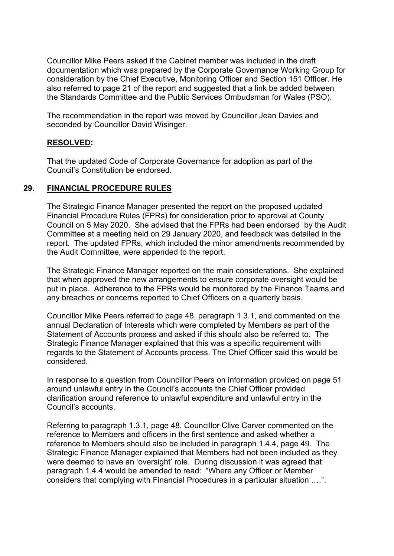Councillor Mike Peers asked if the Cabinet member was included in the draft documentation which was prepared by the Corporate Governance Working Group for consideration by the Chief Executive, Monitoring Officer and Section 151 Officer. He also referred to page 21 of the report and suggested that a link be added between the Standards Committee and the Public Services Ombudsman for Wales (PSO).

The recommendation in the report was moved by Councillor Jean Davies and seconded by Councillor David Wisinger.

## **RESOLVED:**

That the updated Code of Corporate Governance for adoption as part of the Council's Constitution be endorsed.

#### **29. FINANCIAL PROCEDURE RULES**

The Strategic Finance Manager presented the report on the proposed updated Financial Procedure Rules (FPRs) for consideration prior to approval at County Council on 5 May 2020. She advised that the FPRs had been endorsed by the Audit Committee at a meeting held on 29 January 2020, and feedback was detailed in the report. The updated FPRs, which included the minor amendments recommended by the Audit Committee, were appended to the report.

The Strategic Finance Manager reported on the main considerations. She explained that when approved the new arrangements to ensure corporate oversight would be put in place. Adherence to the FPRs would be monitored by the Finance Teams and any breaches or concerns reported to Chief Officers on a quarterly basis.

Councillor Mike Peers referred to page 48, paragraph 1.3.1, and commented on the annual Declaration of Interests which were completed by Members as part of the Statement of Accounts process and asked if this should also be referred to. The Strategic Finance Manager explained that this was a specific requirement with regards to the Statement of Accounts process. The Chief Officer said this would be considered.

In response to a question from Councillor Peers on information provided on page 51 around unlawful entry in the Council's accounts the Chief Officer provided clarification around reference to unlawful expenditure and unlawful entry in the Council's accounts.

Referring to paragraph 1.3.1, page 48, Councillor Clive Carver commented on the reference to Members and officers in the first sentence and asked whether a reference to Members should also be included in paragraph 1.4.4, page 49. The Strategic Finance Manager explained that Members had not been included as they were deemed to have an 'oversight' role. During discussion it was agreed that paragraph 1.4.4 would be amended to read: "Where any Officer or Member considers that complying with Financial Procedures in a particular situation .…".